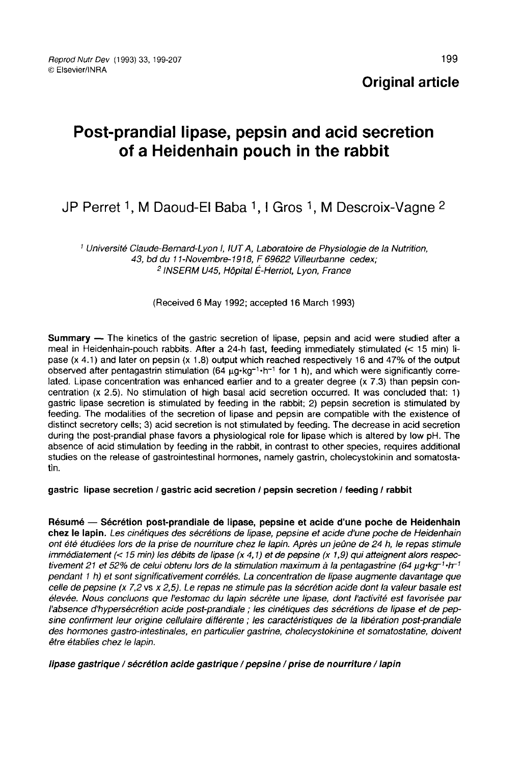Original article

# Post-prandial lipase, pepsin and acid secretion of a Heidenhain pouch in the rabbit

# JP Perret <sup>1</sup>, M Daoud-El Baba <sup>1</sup>, I Gros <sup>1</sup>, M Descroix-Vagne <sup>2</sup>

<sup>1</sup> Université Claude-Bernard-Lyon 1, IUT A, Laboratoire de Physiologie de la Nutrition, 43, bd du -Bernard-l<br>du 11-Nov<br><sup>2</sup> INSERM 11-Novembre-1918, F 69622 Villeurbanne cedex; 1NSERM U45, Hôpital É-Herriot, Lyon, France

(Received 6 May 1992; accepted 16 March 1993)

**Summary**  $-$  The kinetics of the gastric secretion of lipase, pepsin and acid were studied after a meal in Heidenhain-pouch rabbits. After a 24-h fast, feeding immediately stimulated (< 15 min) Iipase (x 4.1) and later on pepsin (x 1.8) output which reached respectively 16 and 47% of the output observed after pentagastrin stimulation (64 μg·kg<sup>-1</sup>·h<sup>-1</sup> for 1 h), and which were significantly correlated. Lipase concentration was enhanced earlier and to a greater degree (x 7.3) than pepsin concentration  $(x 2.5)$ . No stimulation of high basal acid secretion occurred. It was concluded that: 1) gastric lipase secretion is stimulated by feeding in the rabbit; 2) pepsin secretion is stimulated by feeding. The modalities of the secretion of lipase and pepsin are compatible with the existence of distinct secretory cells; 3) acid secretion is not stimulated by feeding. The decrease in acid secretion during the post-prandial phase favors a physiological role for lipase which is altered by Iow pH. The absence of acid stimulation by feeding in the rabbit, in contrast to other species, requires additional studies on the release of gastrointestinal hormones, namely gastrin, cholecystokinin and somatostatín.

#### gastric lipase secretion / gastric acid secretion / pepsin secretion / feeding / rabbit

Résumé ― Sécrétion post-prandiale de lipase, pepsine et acide d'une poche de Heidenhain chez le lapin. Les cinétiques des sécrétions de lipase, pepsine et acide d'une poche de Heidenhain ont été étudiées lors de la prise de nourriture chez le lapin. Après un jeûne de 24 h, le repas stimule immédiatement (< 15 min) les débits de lipase (x 4,1) et de pepsine (x 1,9) qui atteignent alors respecpendant 1 h) et sont significativement corrélés. La concentration de lipase augmente davantage que tivement 21 et 52% de celui obtenu lors de la stimulation maximum à la pentagastrine l bn<br>de Heidenhain<br>de Heidenhain<br>e repas stimule<br>nt alors respec-<br>(64 µg·kg<sup>-1</sup>·h<sup>-1</sup><br>davantage que<br>lleur basale esi celle de pepsine (x 7,2 vs x 2,5). Le repas ne stimule pas la sécrétion acide dont la valeur basale est élevée. Nous concluons que l'estomac du lapin sécrète une lipase, dont l'activité est favorisée par l'absence d'hypersécrétion acide post-prandiale ; les cinétiques des sécrétions de lipase et de pepsine confirment leur origine cellulaire diflérente ; les caractéristiques de la libération post-prandiale des hormones gastro-intestinales, en particulier gastrine, cholecystokinine et somatostatine, doivent être établies chez le lapin.

lipase gastrique / sécrétion acide gastrique / pepsine / prise de nourriture / lapin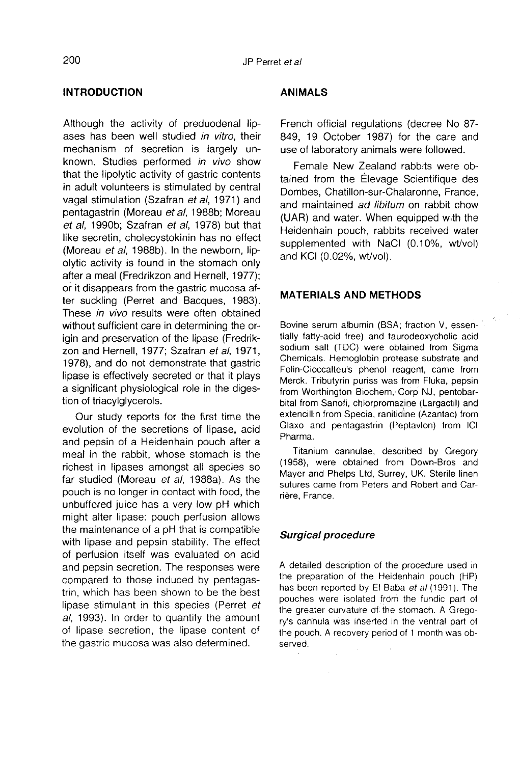## INTRODUCTION

Although the activity of preduodenal lip ases has been well studied in vitro, their mechanism of secretion is largely unknown. Studies performed in vivo show that the lipolytic activity of gastric contents in adult volunteers is stimulated by central vagal stimulation (Szafran et al, 1971) and pentagastrin (Moreau et al, 1988b; Moreau et al, 1990b; Szafran et al, 1978) but that like secretin, cholecystokinin has no effect (Moreau et al, 1988b). In the newborn, lipolytic activity is found in the stomach only after a meal (Fredrikzon and Hernell, 1977); or it disappears from the gastric mucosa after suckling (Perret and Bacques, 1983). These in vivo results were often obtained without sufficient care in determining the origin and preservation of the lipase (Fredrik zon and Hernell, 1977; Szafran et al, 1971, 1978), and do not demonstrate that gastric lipase is effectively secreted or that it plays a significant physiological role in the digestion of triacylglycerols.

Our study reports for the first time the evolution of the secretions of lipase, acid and pepsin of a Heidenhain pouch after a meal in the rabbit, whose stomach is the richest in lipases amongst all species so far studied (Moreau et al, 1988a). As the pouch is no longer in contact with food, the unbuffered juice has a very low pH which might alter lipase: pouch perfusion allows the maintenance of a pH that is compatible with lipase and pepsin stability. The effect of perfusion itself was evaluated on acid and pepsin secretion. The responses were compared to those induced by pentagastrin, which has been shown to be the best lipase stimulant in this species (Perret et al, 1993). In order to quantify the amount of lipase secretion, the lipase content of the gastric mucosa was also determined.

#### ANIMALS

French official regulations (decree No 87- 849, 19 October 1987) for the care and use of laboratory animals were followed.

Female New Zealand rabbits were obtained from the Élevage Scientifique des Dombes, Chatillon-sur-Chalaronne, France, and maintained ad libitum on rabbit chow (UAR) and water. When equipped with the Heidenhain pouch, rabbits received water supplemented with NaCl (0.10%, wt/vol) and KCI (0.02%, wt/vol).

#### MATERIALS AND METHODS

Bovine serum albumin (BSA; fraction V, essentially fatty-acid free) and taurodeoxycholic acid sodium salt (TDC) were obtained from Sigma Chemicals. Hemoglobin protease substrate and Folin-Cioccalteu's phenol reagent, came from Merck. Tributyrin puriss was from Fluka, pepsin from Worthington Biochem, Corp NJ, pentobarbital from Sanofi, chlorpromazine (Largactil) and extencillin from Specia, ranitidine (Azantac) from Glaxo and pentagastrin (Peptavlon) from ICI Pharma.

Titanium cannulae, described by Gregory (1958), were obtained from Down-Bros and Mayer and Phelps Ltd, Surrey, UK. Sterile linen sutures came from Peters and Robert and Carrière, France.

#### Surgical procedure

A detailed description of the procedure used in the preparation of the Heidenhain pouch (HP) has been reported by El Baba et al (1991). The pouches were isolated from the fundic part of the greater curvature of the stomach. A Gregory's can'nula was inserted in the ventral part of the pouch. A recovery period of 1 month was observed.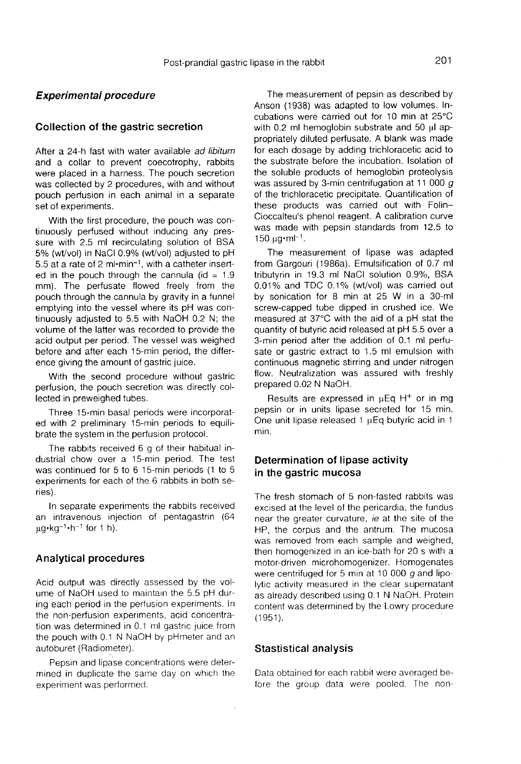#### Experimental procedure

#### Collection of the gastric secretion

After a 24-h fast with water available ad libitum and a collar to prevent coecotrophy, rabbits were placed in a harness. The pouch secretion was collected by 2 procedures, with and without pouch perfusion in each animal in a separate set of experiments.

With the first procedure, the pouch was continuously perfused without inducing any pressure with 2.5 ml recirculating solution of BSA 5% (wt/vol) in NaCl 0.9% (wt/vol) adjusted to pH 5.5 at a rate of 2 ml $\cdot$ min<sup>-1</sup>, with a catheter inserted in the pouch through the cannula (id =  $1.9$ ) mm). The perfusate flowed freely from the pouch through the cannula by gravity in a funnel emptying into the vessel where its pH was continuously adjusted to 5.5 with NaOH 0.2 N; the volume of the latter was recorded to provide the acid output per period. The vessel was weighed before and after each 15-min period, the difference giving the amount of gastric juice.

With the second procedure without gastric perfusion, the pouch secretion was directly collected in preweighed tubes.

Three 15-min basal periods were incorporated with 2 preliminary 15-min periods to equilibrate the system in the perfusion protocol.

The rabbits received 6 g of their habitual industrial chow over a 15-min period. The test was continued for 5 to 6 15-min periods (1 to 5 ries).

experiments for each of the 6 rabbits in both se-<br>experiments for each of the 6 rabbits in both se-<br>ries).<br>In separate experiments the rabbits received<br>an intravenous injection of pentagastrin (64<br> $\mu$ g·kg<sup>-1</sup>·h<sup>-1</sup> for 1 In separate experiments the rabbits received an intravenous injection of pentagastrin  $(64 \text{ uq-kq}^{-1} \cdot h^{-1}$  for 1 h).

#### Analytical procedures

Acid output was directly assessed by the volume of NaOH used to maintain the 5.5 pH during each period in the perfusion experiments. In the non-perfusion experiments, acid concentration was determined in 0.1 ml gastric juice from the pouch with 0.1 N NaOH by pHmeter and an autoburet (Radiometer).

Pepsin and lipase concentrations were determined in duplicate the same day on which the experiment was performed.

The measurement of pepsin as described by Anson (1938) was adapted to low volumes. Incubations were carried out for 10 min at 25°C with  $0.2$  ml hemoglobin substrate and  $50$   $\mu$ l appropriately diluted perfusate. A blank was made for each dosage by adding trichloracetic acid to the substrate before the incubation. Isolation of the soluble products of hemoglobin proteolysis was assured by 3-min centrifugation at 11 000 g of the trichloracetic precipitate. Quantification of these products was carried out with Folin-Cioccalteu's phenol reagent. A calibration curve was made with pepsin standards from 12.5 to 150  $\mu$ a $\cdot$ ml<sup>-1</sup>.

The measurement of lipase was adapted from Gargouri (1986a). Emulsification of 0.7 ml tributyrin in 19.3 ml NaCl solution 0.9%, BSA 0.01% and TDC 0.1% (wt/vol) was carried out by sonication for 8 min at 25 W in a 30-ml screw-capped tube dipped in crushed ice. We measured at 37°C with the aid of a pH stat the quantity of butyric acid released at pH 5.5 over a 3-min period after the addition of 0.1 ml perfu sate or gastric extract to 1.5 ml emulsion with continuous magnetic stirring and under nitrogen flow. Neutralization was assured with freshly prepared 0.02 N NaOH.

Results are expressed in  $\mu$ Eq H<sup>+</sup> or in mg pepsin or in units lipase secreted for 15 min. One unit lipase released 1 uEq butyric acid in 1 min.

#### Determination of lipase activity in the gastric mucosa

The fresh stomach of 5 non-fasted rabbits was excised at the level of the pericardia, the fundus near the greater curvature, ie at the site of the HP, the corpus and the antrum. The mucosa was removed from each sample and weighed, then homogenized in an ice-bath for 20 s with a motor-driven microhomogenizer. Homogenates were centrifuged for 5 min at 10 000  $q$  and lipolytic activity measured in the clear supernatant as already described using 0.1 N NaOH. Protein content was determined by the Lowry procedure  $(1951)$ .

#### Stastistical analysis

Data obtained for each rabbit were averaged before the group data were pooled. The non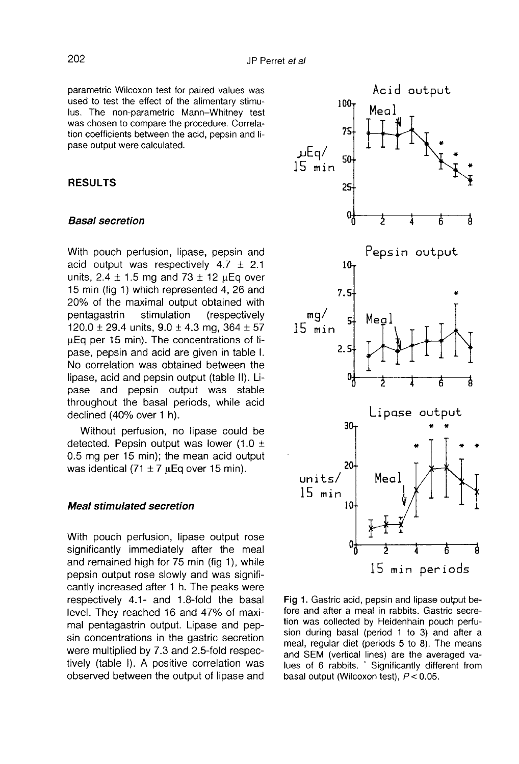parametric Wilcoxon test for paired values was used to test the effect of the alimentary stimulus. The non-parametric Mann-Whitney test was chosen to compare the procedure. Correlation coefficients between the acid, pepsin and lipase output were calculated.

#### RESULTS

#### Basal secretion

With pouch perfusion, lipase, pepsin and acid output was respectively  $4.7 \pm 2.1$ units, 2.4  $\pm$  1.5 mg and 73  $\pm$  12  $\mu$ Eq over 15 min (fig 1) which represented 4, 26 and 20% of the maximal output obtained with<br>pentagastrin stimulation (respectively (respectively 120.0  $\pm$  29.4 units, 9.0  $\pm$  4.3 mg, 364  $\pm$  57 uEq per 15 min). The concentrations of lipase, pepsin and acid are given in table I. No correlation was obtained between the lipase, acid and pepsin output (table II). Lipase and pepsin output was stable throughout the basal periods, while acid declined (40% over 1 h).

Without perfusion, no lipase could be detected. Pepsin output was lower (1.0  $\pm$ 0.5 mg per 15 min); the mean acid output was identical  $(71 \pm 7 \text{ } \mu \text{Eq}$  over 15 min).

#### Meal stimulated secretion

With pouch perfusion, lipase output rose significantly immediately after the meal and remained high for 75 min (fig 1), while pepsin output rose slowly and was significantly increased after 1 h. The peaks were respectively 4.1- and 1.8-fold the basal level. They reached 16 and 47% of maximal pentagastrin output. Lipase and pepsin concentrations in the gastric secretion were multiplied by 7.3 and 2.5-fold respectively (table I). A positive correlation was observed between the output of lipase and



Fig 1. Gastric acid, pepsin and lipase output before and after a meal in rabbits. Gastric secretion was collected by Heidenhain pouch perfusion during basal (period 1 to 3) and after a meal, regular diet (periods 5 to 8). The means and SEM (vertical lines) are the averaged values of 6 rabbits. 'Significantly different from basal output (Wilcoxon test),  $P < 0.05$ .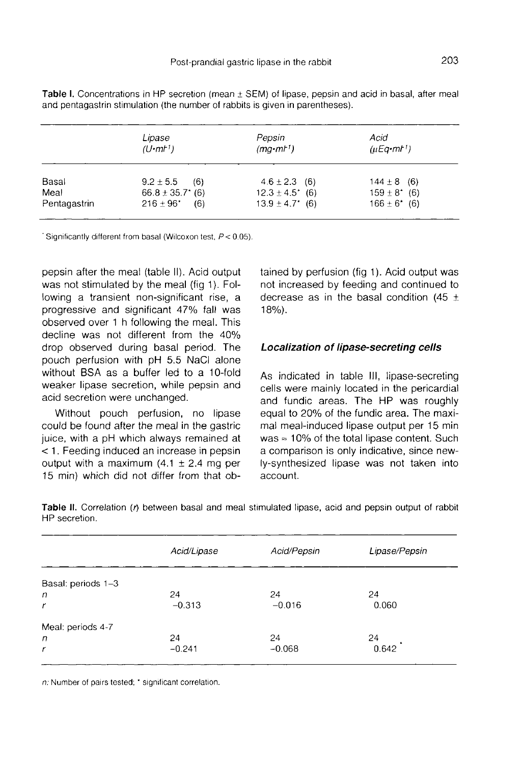|              | Lipase<br>(U·mt <sup>1</sup> ) | Pepsin<br>$(mq \cdot m l')$ | Acid<br>$(\mu Eq \cdot m t^{\dagger})$ |
|--------------|--------------------------------|-----------------------------|----------------------------------------|
| Basal        | $9.2 \pm 5.5$<br>(6)           | $4.6 \pm 2.3$ (6)           | $144 \pm 8$ (6)                        |
| Meal         | $66.8 \pm 35.7$ * (6)          | $12.3 \pm 4.5$ * (6)        | $159 \pm 8^*$ (6)                      |
| Pentagastrin | $216 \pm 96^*$<br>(6)          | $13.9 \pm 4.7$ (6)          | $166 \pm 6'$ (6)                       |

Table I. Concentrations in HP secretion (mean  $\pm$  SEM) of lipase, pepsin and acid in basal, after meal and pentagastrin stimulation (the number of rabbits is given in parentheses).

Significantly different from basal (Wilcoxon test,  $P < 0.05$ ).

pepsin after the meal (table II). Acid output was not stimulated by the meal (fig 1 ). Following a transient non-significant rise, a progressive and significant 47% fall was observed over 1 h following the meal. This decline was not different from the 40% drop observed during basal period. The pouch perfusion with pH 5.5 NaCl alone without BSA as a buffer led to a 10-fold weaker lipase secretion, while pepsin and acid secretion were unchanged.

Without pouch perfusion, no lipase could be found after the meal in the gastric juice, with a pH which always remained at < 1. Feeding induced an increase in pepsin output with a maximum  $(4.1 \pm 2.4 \text{ mg per})$ 15 min) which did not differ from that obtained by perfusion (fig 1). Acid output was not increased by feeding and continued to decrease as in the basal condition (45  $\pm$ 18%).

#### Localization of lipase-secreting cells

As indicated in table III, lipase-secreting cells were mainly located in the pericardial and fundic areas. The HP was roughly equal to 20% of the fundic area. The maxi-<br>mal meal-induced lipase output per 15 min<br>was = 10% of the total lipase content. Such<br>a comparison is only indicative since newmal meal-induced lipase output per 15 min was  $\approx$  10% of the total lipase content. Such a comparison is only indicative, since newly-synthesized lipase was not taken into account.

|                    | Acid/Lipase | Acid/Pepsin | Lipase/Pepsin |
|--------------------|-------------|-------------|---------------|
| Basal: periods 1-3 |             |             |               |
| n                  | 24          | 24          | 24            |
| r                  | $-0.313$    | $-0.016$    | 0.060         |
| Meal: periods 4-7  |             |             |               |
| n                  | 24          | 24          | 24            |
| r                  | $-0.241$    | $-0.068$    | 0.642         |

Table II. Correlation (r) between basal and meal stimulated lipase, acid and pepsin output of rabbit HP secretion.

n: Number of pairs tested: \* significant correlation.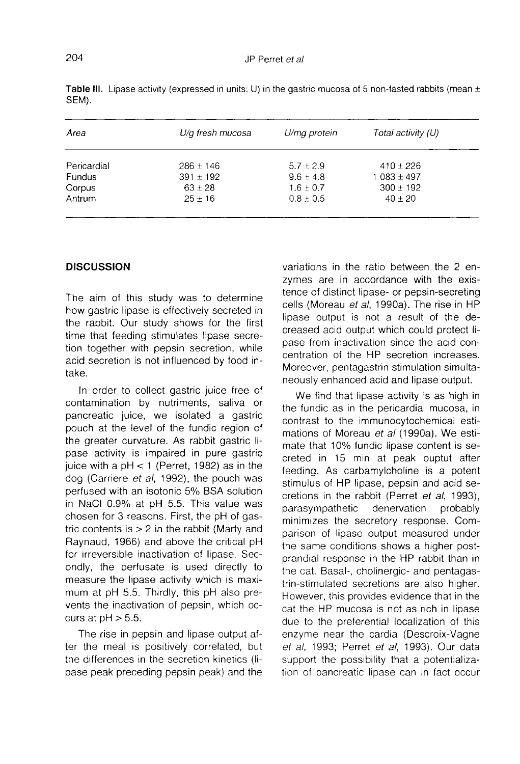| Area        | U/g fresh mucosa | U/mq protein | Total activity (U) |
|-------------|------------------|--------------|--------------------|
| Pericardial | $286 + 146$      | $5.7 + 2.9$  | $410 \pm 226$      |
| Fundus      | $391 \pm 192$    | $9.6 + 4.8$  | $1083 \pm 497$     |
| Corpus      | $63 + 28$        | $1.6 + 0.7$  | $300 \pm 192$      |
| Antrum      | $25 + 16$        | $0.8 + 0.5$  | $40 + 20$          |

Table III. Lipase activity (expressed in units: U) in the gastric mucosa of 5 non-fasted rabbits (mean  $\pm$ SEM).

#### **DISCUSSION**

The aim of this study was to determine how gastric lipase is effectively secreted in the rabbit. Our study shows for the first time that feeding stimulates lipase secretion together with pepsin secretion, while acid secretion is not influenced by food intake.

In order to collect gastric juice free of contamination by nutriments, saliva or pancreatic juice, we isolated a gastric pouch at the level of the fundic region of the greater curvature. As rabbit gastric lipase activity is impaired in pure gastric juice with a  $pH < 1$  (Perret, 1982) as in the dog (Carriere et al, 1992), the pouch was perfused with an isotonic 5% BSA solution in NaCl 0.9% at pH 5.5. This value was chosen for 3 reasons. First, the pH of gastric contents is  $> 2$  in the rabbit (Marty and Raynaud, 1966) and above the critical pH for irreversible inactivation of lipase. Secondly, the perfusate is used directly to measure the lipase activity which is maximum at pH 5.5. Thirdly, this pH also prevents the inactivation of pepsin, which occurs at  $pH > 5.5$ .

The rise in pepsin and lipase output after the meal is positively correlated, but the differences in the secretion kinetics (lipase peak preceding pepsin peak) and the variations in the ratio between the 2 enzymes are in accordance with the existence of distinct lipase- or pepsin-secreting cells (Moreau et al, 1990a). The rise in HP lipase output is not a result of the decreased acid output which could protect lipase from inactivation since the acid concentration of the HP secretion increases. Moreover, pentagastrin stimulation simultaneously enhanced acid and lipase output.

We find that lipase activity is as high in the fundic as in the pericardial mucosa, in contrast to the immunocytochemical estimations of Moreau et al (1990a). We estimate that 10% fundic lipase content is secreted in 15 min at peak ouptut after feeding. As carbamylcholine is a potent stimulus of HP lipase, pepsin and acid secretions in the rabbit (Perret et al, 1993), parasympathetic denervation probably minimizes the secretory response. Comparison of lipase output measured under the same conditions shows a higher postprandial response in the HP rabbit than in the cat. Basal-, cholinergic- and pentagastrin-stimulated secretions are also higher. However, this provides evidence that in the cat the HP mucosa is not as rich in lipase due to the preferential localization of this enzyme near the cardia (Descroix-Vagne et al, 1993; Perret et al, 1993). Our data support the possibility that a potentialization of pancreatic lipase can in fact occur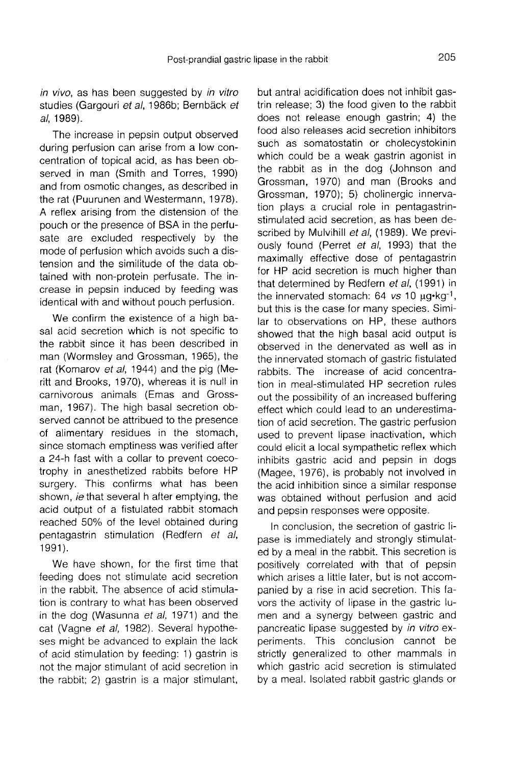in vivo, as has been suggested by in vitro studies (Gargouri et al, 1986b; Bernbäck et al, 1989).

The increase in pepsin output observed during perfusion can arise from a low concentration of topical acid, as has been observed in man (Smith and Torres, 1990) and from osmotic changes, as described in the rat (Puurunen and Westermann, 1978). A reflex arising from the distension of the pouch or the presence of BSA in the perfusate are excluded respectively by the mode of perfusion which avoids such a distension and the similitude of the data obtained with non-protein perfusate. The increase in pepsin induced by feeding was identical with and without pouch perfusion.

We confirm the existence of a high basal acid secretion which is not specific to the rabbit since it has been described in man (Wormsley and Grossman, 1965), the rat (Komarov et al, 1944) and the pig (Meritt and Brooks, 1970), whereas it is null in carnivorous animals (Emas and Grossman, 1967). The high basal secretion observed cannot be attribued to the presence of alimentary residues in the stomach, since stomach emptiness was verified after a 24-h fast with a collar to prevent coecotrophy in anesthetized rabbits before HP surgery. This confirms what has been shown, *ie* that several h after emptying, the acid output of a fistulated rabbit stomach reached 50% of the level obtained during pentagastrin stimulation (Redfern et al, 1991).

We have shown, for the first time that feeding does not stimulate acid secretion in the rabbit. The absence of acid stimulation is contrary to what has been observed in the dog (Wasunna et al, 1971) and the cat (Vagne et al, 1982). Several hypotheses might be advanced to explain the lack of acid stimulation by feeding: 1) gastrin is not the major stimulant of acid secretion in the rabbit; 2) gastrin is a major stimulant,

but antral acidification does not inhibit gastrin release; 3) the food given to the rabbit does not release enough gastrin; 4) the food also releases acid secretion inhibitors such as somatostatin or cholecystokinin which could be a weak gastrin agonist in the rabbit as in the dog (Johnson and Grossman, 1970) and man (Brooks and Grossman, 1970); 5) cholinergic innervation plays a crucial role in pentagastrinstimulated acid secretion, as has been described by Mulvihill et al. (1989). We previously found (Perret et al, 1993) that the maximally effective dose of pentagastrin for HP acid secretion is much higher than that determined by Redfern et al, (1991) in the innervated stomach:  $64$  vs  $10 \mu g \cdot kg^{-1}$ , but this is the case for many species. Similar to observations on HP, these authors showed that the high basal acid output is observed in the denervated as well as in the innervated stomach of gastric fistulated rabbits. The increase of acid concentration in meal-stimulated HP secretion rules out the possibility of an increased buffering effect which could lead to an underestimation of acid secretion. The gastric perfusion used to prevent lipase inactivation, which could elicit a local sympathetic reflex which inhibits gastric acid and pepsin in dogs (Magee, 1976), is probably not involved in the acid inhibition since a similar response was obtained without perfusion and acid and pepsin responses were opposite.

In conclusion, the secretion of gastric lipase is immediately and strongly stimulated by a meal in the rabbit. This secretion is positively correlated with that of pepsin which arises a little later, but is not accompanied by a rise in acid secretion. This favors the activity of lipase in the gastric lumen and a synergy between gastric and pancreatic lipase suggested by in vitro experiments. This conclusion cannot be strictly generalized to other mammals in which gastric acid secretion is stimulated by a meal. Isolated rabbit gastric glands or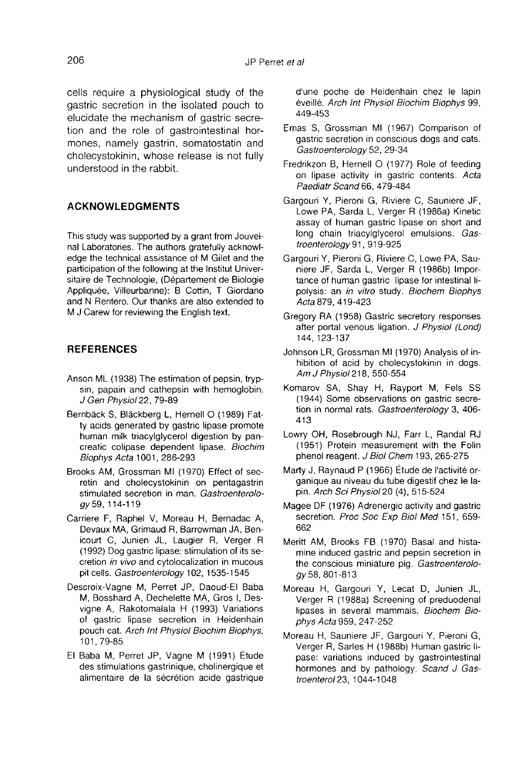cells require a physiological study of the gastric secretion in the isolated pouch to elucidate the mechanism of gastric secretion and the role of gastrointestinal hormones, namely gastrin, somatostatin and cholecystokinin, whose release is not fully understood in the rabbit.

### ACKNOWLEDGMENTS

This study was supported by a grant from Jouveinal Laboratories. The authors gratefully acknowledge the technical assistance of M Gilet and the participation of the following at the Institut Universitaire de Technologie, (Département de Biologie Appliquée, Villeurbanne): B Cottin, T Giordano and N Rentero. Our thanks are also extended to M J Carew for reviewing the English text.

### **REFERENCES**

- Anson ML (1938) The estimation of pepsin, trypsin, papain and cathepsin with hemoglobin. J Gen Physiol 22, 79-89
- Bernbäck S, Bläckberg L, Hernell O (1989) Fatty acids generated by gastric lipase promote human milk triacylglycerol digestion by pancreatic colipase dependent lipase. Biochim Biophys Acta 1001, 286-293
- Brooks AM, Grossman MI (1970) Effect of secretin and cholecystokinin on pentagastrin stimulated secretion in man. Gastroenterology 59, 114-119
- Carriere F, Raphel V, Moreau H, Bernadac A, Devaux MA, Grimaud R, Barrowman JA, Benicourt C, Junien JL, Laugier R, Verger R (1992) Dog gastric lipase: stimulation of its secretion in vivo and cytolocalization in mucous pit cells. Gastroenterology 102, 1535-1545
- Descroix-Vagne M, Perret JP, Daoud-El Baba M, Bosshard A, Dechelette MA, Gros I, Desvigne A, Rakotomalala H (1993) Variations of gastric lipase secretion in Heidenhain pouch cat. Arch Int Physiol Biochim Biophys, 101, 79-85
- El Baba M, Perret JP, Vagne M (1991) Etude des stimulations gastrinique, cholinergique et alimentaire de la sécrétion acide gastrique

d'une poche de Heidenhain chez le lapin éveillé. Arch Int Physiol Biochim Biophys 99, 449-453

- Emas S, Grossman MI (1967) Comparison of gastric secretion in conscious dogs and cats. Gastroenterology 52, 29-34
- Fredrikzon B, Hernell 0 (1977) Role of feeding on lipase activity in gastric contents. Acta Paediatr Scand 66, 479-484
- Gargouri Y, Pieroni G, Riviere C, Sauniere JF, Lowe PA, Sarda L, Verger R (1986a) Kinetic assay of human gastric lipase on short and long chain triacylglycerol emulsions. Gastroenterology 91, 919-925
- Gargouri Y, Pieroni G, Riviere C, Lowe PA, Sauniere JF, Sarda L, Verger R (1986b) Impor tance of human gastric lipase for intestinal lipolysis: an in vitro study. Biochem Biophys Acta 879, 419-423
- Gregory RA (1958) Gastric secretory responses after portal venous ligation. J Physiol (Lond) 144, 123-137
- Johnson LR, Grossman MI (1970) Analysis of inhibition of acid by cholecystokinin in dogs.<br>Am J Physiol 218, 550-554
- Komarov SA, Shay H, Rayport M, Fels SS (1944) Some observations on gastric secretion in normal rats. Gastroenterology 3, 406- 413
- Lowry OH, Rosebrough NJ, Farr L, Randal RJ (1951) Protein measurement with the Folin phenol reagent. J Biol Chem 193, 265-275
- Marty J, Raynaud P (1966) Étude de l'activité organique au niveau du tube digestif chez le lapin. Arch Sci Physio120 (4), 515-524
- Magee DF (1976) Adrenergic activity and gastric secretion. Proc Soc Exp Biol Med 151, 659- 662
- Meritt AM, Brooks FB (1970) Basal and histamine induced gastric and pepsin secretion in the conscious miniature pig. Gastroenterology 58, 801-813
- Moreau H, Gargouri Y, Lecat D, Junien JL, Verger R (1988a) Screening of preduodenal lipases in several mammals. Biochem Biophys Acta 959, 247-252
- Moreau H, Sauniere JF, Gargouri Y, Pieroni G, Verger R, Sarles H (1988b) Human gastric lipase: variations induced by gastrointestinal hormones and by pathology. Scand J Gastroentero123, 1044-1048